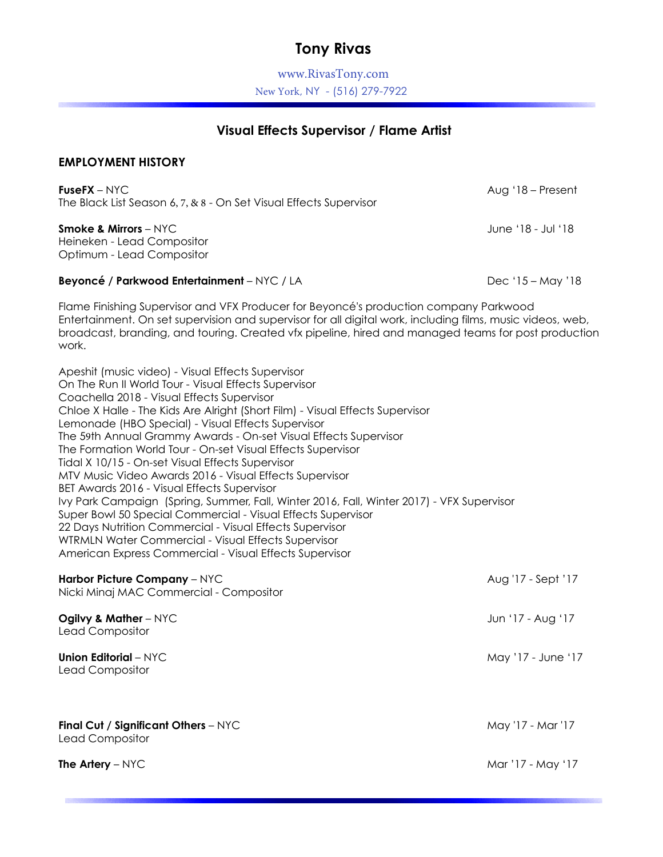## **Tony Rivas**

www.RivasTony.com New York, NY - (516) 279-7922

## **Visual Effects Supervisor / Flame Artist**

## **EMPLOYMENT HISTORY**

**FuseFX** – NYC The Black List Season 6, 7, & 8 - On Set Visual Effects Supervisor

**Smoke & Mirrors** – NYC Heineken - Lead Compositor Optimum - Lead Compositor

## **Beyoncé / Parkwood Entertainment** – NYC / LA Dec '15 – May '18

Flame Finishing Supervisor and VFX Producer for Beyoncé's production company Parkwood Entertainment. On set supervision and supervisor for all digital work, including films, music videos, web, broadcast, branding, and touring. Created vfx pipeline, hired and managed teams for post production work.

Apeshit (music video) - Visual Effects Supervisor On The Run II World Tour - Visual Effects Supervisor Coachella 2018 - Visual Effects Supervisor Chloe X Halle - The Kids Are Alright (Short Film) - Visual Effects Supervisor Lemonade (HBO Special) - Visual Effects Supervisor The 59th Annual Grammy Awards - On-set Visual Effects Supervisor The Formation World Tour - On-set Visual Effects Supervisor Tidal X 10/15 - On-set Visual Effects Supervisor MTV Music Video Awards 2016 - Visual Effects Supervisor BET Awards 2016 - Visual Effects Supervisor Ivy Park Campaign (Spring, Summer, Fall, Winter 2016, Fall, Winter 2017) - VFX Supervisor Super Bowl 50 Special Commercial - Visual Effects Supervisor 22 Days Nutrition Commercial - Visual Effects Supervisor WTRMLN Water Commercial - Visual Effects Supervisor American Express Commercial - Visual Effects Supervisor

| Harbor Picture Company - NYC<br>Nicki Minaj MAC Commercial - Compositor | Aug '17 - Sept '17 |
|-------------------------------------------------------------------------|--------------------|
| Ogilvy & Mather $-$ NYC<br>Lead Compositor                              | Jun '17 - Aug '17  |
| Union Editorial $-$ NYC<br>Lead Compositor                              | May '17 - June '17 |
| Final Cut / Significant Others - NYC<br>Lead Compositor                 | May '17 - Mar '17  |
| <b>The Artery</b> $-$ NYC                                               | Mar '17 - May '17  |

Aug '18 – Present

June '18 - Jul '18